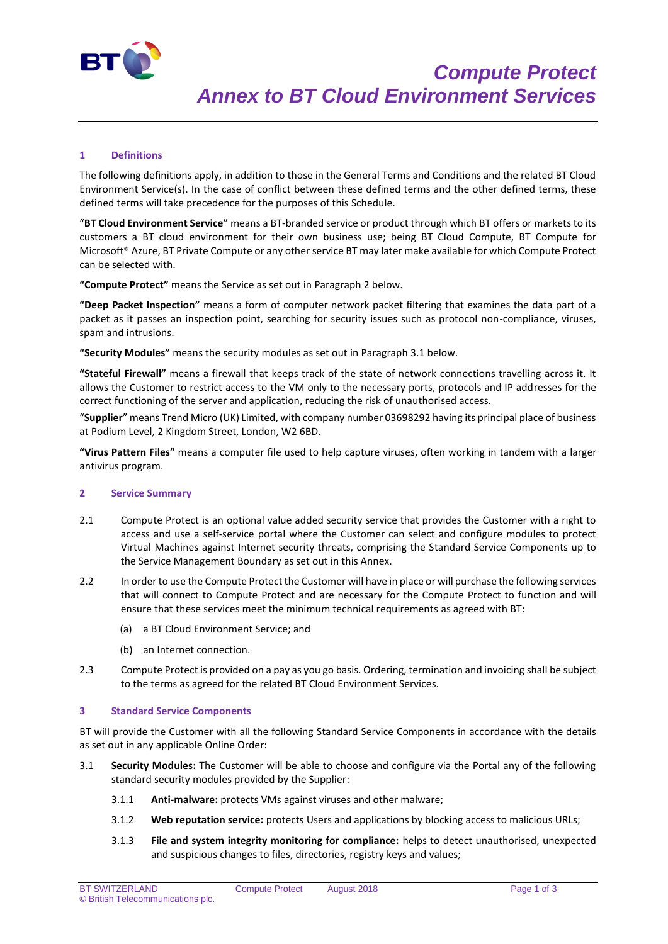

## **1 Definitions**

The following definitions apply, in addition to those in the General Terms and Conditions and the related BT Cloud Environment Service(s). In the case of conflict between these defined terms and the other defined terms, these defined terms will take precedence for the purposes of this Schedule.

"**BT Cloud Environment Service**" means a BT-branded service or product through which BT offers or markets to its customers a BT cloud environment for their own business use; being BT Cloud Compute, BT Compute for Microsoft® Azure, BT Private Compute or any other service BT may later make available for which Compute Protect can be selected with.

**"Compute Protect"** means the Service as set out in Paragraph 2 below.

**"Deep Packet Inspection"** means a form of computer network packet filtering that examines the data part of a packet as it passes an inspection point, searching for security issues such as protocol non-compliance, viruses, spam and intrusions.

**"Security Modules"** means the security modules as set out in Paragraph 3.1 below.

**"Stateful Firewall"** means a firewall that keeps track of the state of network connections travelling across it. It allows the Customer to restrict access to the VM only to the necessary ports, protocols and IP addresses for the correct functioning of the server and application, reducing the risk of unauthorised access.

"**Supplier**" means Trend Micro (UK) Limited, with company number 03698292 having its principal place of business at Podium Level, 2 Kingdom Street, London, W2 6BD.

**"Virus Pattern Files"** means a computer file used to help capture viruses, often working in tandem with a larger antivirus program.

#### **2 Service Summary**

- 2.1 Compute Protect is an optional value added security service that provides the Customer with a right to access and use a self-service portal where the Customer can select and configure modules to protect Virtual Machines against Internet security threats, comprising the Standard Service Components up to the Service Management Boundary as set out in this Annex.
- 2.2 In order to use the Compute Protect the Customer will have in place or will purchase the following services that will connect to Compute Protect and are necessary for the Compute Protect to function and will ensure that these services meet the minimum technical requirements as agreed with BT:
	- (a) a BT Cloud Environment Service; and
	- (b) an Internet connection.
- 2.3 Compute Protect is provided on a pay as you go basis. Ordering, termination and invoicing shall be subject to the terms as agreed for the related BT Cloud Environment Services.

#### **3 Standard Service Components**

BT will provide the Customer with all the following Standard Service Components in accordance with the details as set out in any applicable Online Order:

- 3.1 **Security Modules:** The Customer will be able to choose and configure via the Portal any of the following standard security modules provided by the Supplier:
	- 3.1.1 **Anti-malware:** protects VMs against viruses and other malware;
	- 3.1.2 **Web reputation service:** protects Users and applications by blocking access to malicious URLs;
	- 3.1.3 **File and system integrity monitoring for compliance:** helps to detect unauthorised, unexpected and suspicious changes to files, directories, registry keys and values;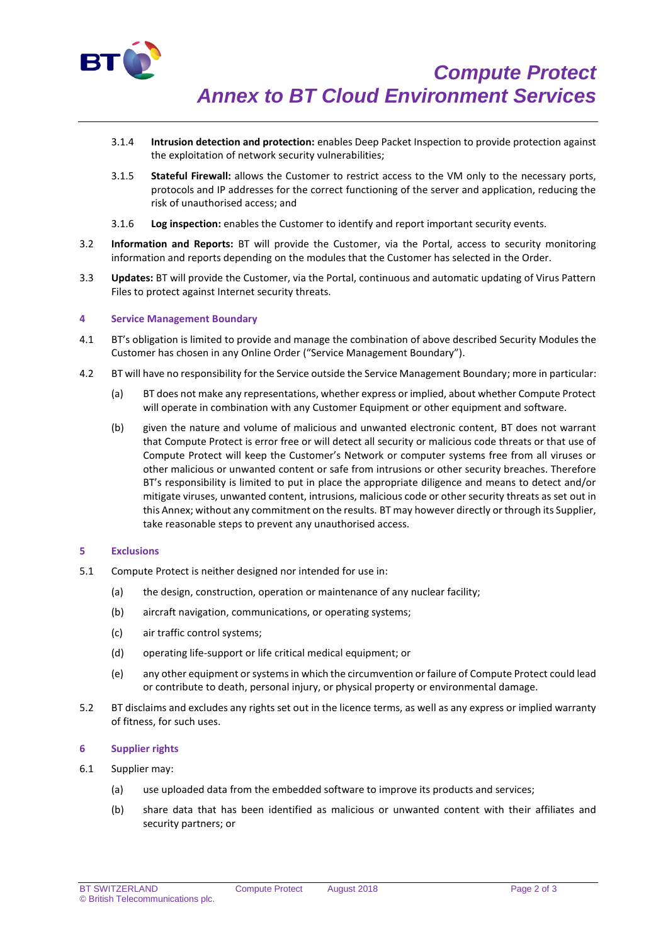

- 3.1.4 **Intrusion detection and protection:** enables Deep Packet Inspection to provide protection against the exploitation of network security vulnerabilities;
- 3.1.5 **Stateful Firewall:** allows the Customer to restrict access to the VM only to the necessary ports, protocols and IP addresses for the correct functioning of the server and application, reducing the risk of unauthorised access; and
- 3.1.6 **Log inspection:** enables the Customer to identify and report important security events.
- 3.2 **Information and Reports:** BT will provide the Customer, via the Portal, access to security monitoring information and reports depending on the modules that the Customer has selected in the Order.
- 3.3 **Updates:** BT will provide the Customer, via the Portal, continuous and automatic updating of Virus Pattern Files to protect against Internet security threats.

### **4 Service Management Boundary**

- 4.1 BT's obligation is limited to provide and manage the combination of above described Security Modules the Customer has chosen in any Online Order ("Service Management Boundary").
- 4.2 BT will have no responsibility for the Service outside the Service Management Boundary; more in particular:
	- (a) BT does not make any representations, whether express or implied, about whether Compute Protect will operate in combination with any Customer Equipment or other equipment and software.
	- (b) given the nature and volume of malicious and unwanted electronic content, BT does not warrant that Compute Protect is error free or will detect all security or malicious code threats or that use of Compute Protect will keep the Customer's Network or computer systems free from all viruses or other malicious or unwanted content or safe from intrusions or other security breaches. Therefore BT's responsibility is limited to put in place the appropriate diligence and means to detect and/or mitigate viruses, unwanted content, intrusions, malicious code or other security threats as set out in this Annex; without any commitment on the results. BT may however directly or through its Supplier, take reasonable steps to prevent any unauthorised access.

#### **5 Exclusions**

- 5.1 Compute Protect is neither designed nor intended for use in:
	- (a) the design, construction, operation or maintenance of any nuclear facility;
	- (b) aircraft navigation, communications, or operating systems;
	- (c) air traffic control systems;
	- (d) operating life-support or life critical medical equipment; or
	- (e) any other equipment or systems in which the circumvention or failure of Compute Protect could lead or contribute to death, personal injury, or physical property or environmental damage.
- 5.2 BT disclaims and excludes any rights set out in the licence terms, as well as any express or implied warranty of fitness, for such uses.

## **6 Supplier rights**

- 6.1 Supplier may:
	- (a) use uploaded data from the embedded software to improve its products and services;
	- (b) share data that has been identified as malicious or unwanted content with their affiliates and security partners; or